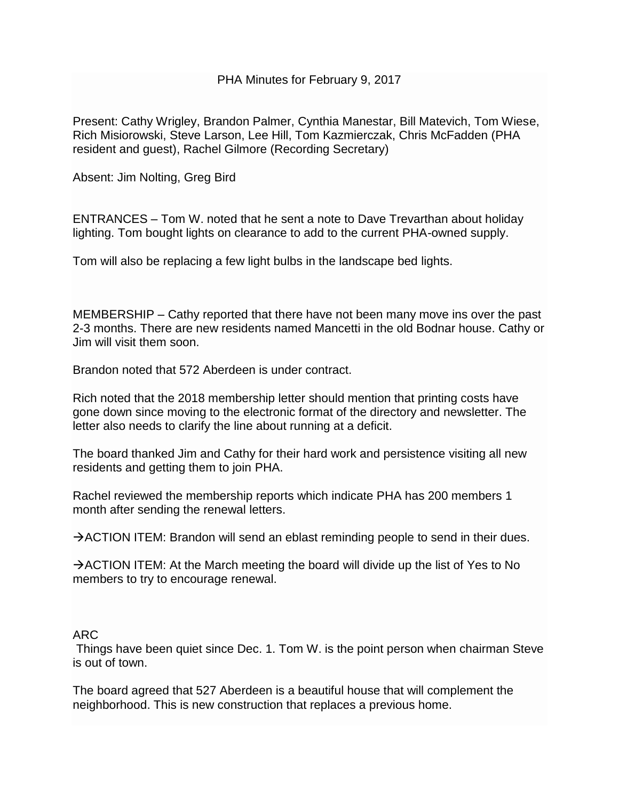PHA Minutes for February 9, 2017

Present: Cathy Wrigley, Brandon Palmer, Cynthia Manestar, Bill Matevich, Tom Wiese, Rich Misiorowski, Steve Larson, Lee Hill, Tom Kazmierczak, Chris McFadden (PHA resident and guest), Rachel Gilmore (Recording Secretary)

Absent: Jim Nolting, Greg Bird

ENTRANCES – Tom W. noted that he sent a note to Dave Trevarthan about holiday lighting. Tom bought lights on clearance to add to the current PHA-owned supply.

Tom will also be replacing a few light bulbs in the landscape bed lights.

MEMBERSHIP – Cathy reported that there have not been many move ins over the past 2-3 months. There are new residents named Mancetti in the old Bodnar house. Cathy or Jim will visit them soon.

Brandon noted that 572 Aberdeen is under contract.

Rich noted that the 2018 membership letter should mention that printing costs have gone down since moving to the electronic format of the directory and newsletter. The letter also needs to clarify the line about running at a deficit.

The board thanked Jim and Cathy for their hard work and persistence visiting all new residents and getting them to join PHA.

Rachel reviewed the membership reports which indicate PHA has 200 members 1 month after sending the renewal letters.

 $\rightarrow$  ACTION ITEM: Brandon will send an eblast reminding people to send in their dues.

 $\rightarrow$  ACTION ITEM: At the March meeting the board will divide up the list of Yes to No members to try to encourage renewal.

#### ARC

Things have been quiet since Dec. 1. Tom W. is the point person when chairman Steve is out of town.

The board agreed that 527 Aberdeen is a beautiful house that will complement the neighborhood. This is new construction that replaces a previous home.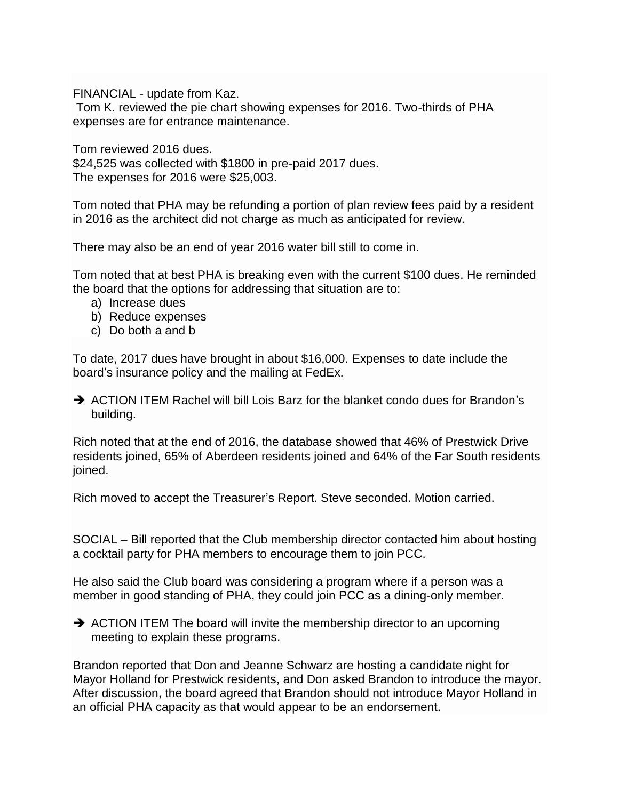FINANCIAL - update from Kaz.

Tom K. reviewed the pie chart showing expenses for 2016. Two-thirds of PHA expenses are for entrance maintenance.

Tom reviewed 2016 dues. \$24,525 was collected with \$1800 in pre-paid 2017 dues. The expenses for 2016 were \$25,003.

Tom noted that PHA may be refunding a portion of plan review fees paid by a resident in 2016 as the architect did not charge as much as anticipated for review.

There may also be an end of year 2016 water bill still to come in.

Tom noted that at best PHA is breaking even with the current \$100 dues. He reminded the board that the options for addressing that situation are to:

- a) Increase dues
- b) Reduce expenses
- c) Do both a and b

To date, 2017 dues have brought in about \$16,000. Expenses to date include the board's insurance policy and the mailing at FedEx.

 $\rightarrow$  ACTION ITEM Rachel will bill Lois Barz for the blanket condo dues for Brandon's building.

Rich noted that at the end of 2016, the database showed that 46% of Prestwick Drive residents joined, 65% of Aberdeen residents joined and 64% of the Far South residents joined.

Rich moved to accept the Treasurer's Report. Steve seconded. Motion carried.

SOCIAL – Bill reported that the Club membership director contacted him about hosting a cocktail party for PHA members to encourage them to join PCC.

He also said the Club board was considering a program where if a person was a member in good standing of PHA, they could join PCC as a dining-only member.

 $\rightarrow$  ACTION ITEM The board will invite the membership director to an upcoming meeting to explain these programs.

Brandon reported that Don and Jeanne Schwarz are hosting a candidate night for Mayor Holland for Prestwick residents, and Don asked Brandon to introduce the mayor. After discussion, the board agreed that Brandon should not introduce Mayor Holland in an official PHA capacity as that would appear to be an endorsement.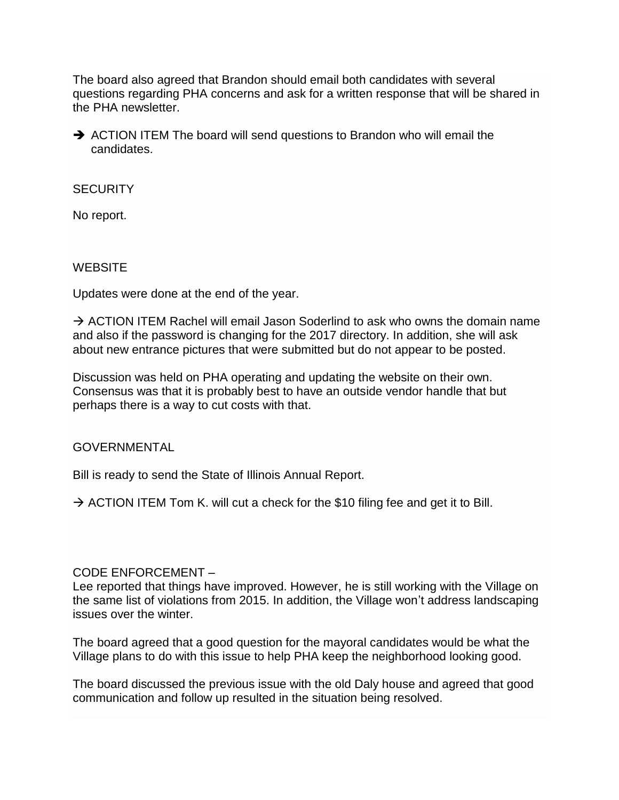The board also agreed that Brandon should email both candidates with several questions regarding PHA concerns and ask for a written response that will be shared in the PHA newsletter.

 $\rightarrow$  ACTION ITEM The board will send questions to Brandon who will email the candidates.

### **SECURITY**

No report.

## **WEBSITE**

Updates were done at the end of the year.

 $\rightarrow$  ACTION ITEM Rachel will email Jason Soderlind to ask who owns the domain name and also if the password is changing for the 2017 directory. In addition, she will ask about new entrance pictures that were submitted but do not appear to be posted.

Discussion was held on PHA operating and updating the website on their own. Consensus was that it is probably best to have an outside vendor handle that but perhaps there is a way to cut costs with that.

GOVERNMENTAL

Bill is ready to send the State of Illinois Annual Report.

 $\rightarrow$  ACTION ITEM Tom K. will cut a check for the \$10 filing fee and get it to Bill.

# CODE ENFORCEMENT –

Lee reported that things have improved. However, he is still working with the Village on the same list of violations from 2015. In addition, the Village won't address landscaping issues over the winter.

The board agreed that a good question for the mayoral candidates would be what the Village plans to do with this issue to help PHA keep the neighborhood looking good.

The board discussed the previous issue with the old Daly house and agreed that good communication and follow up resulted in the situation being resolved.